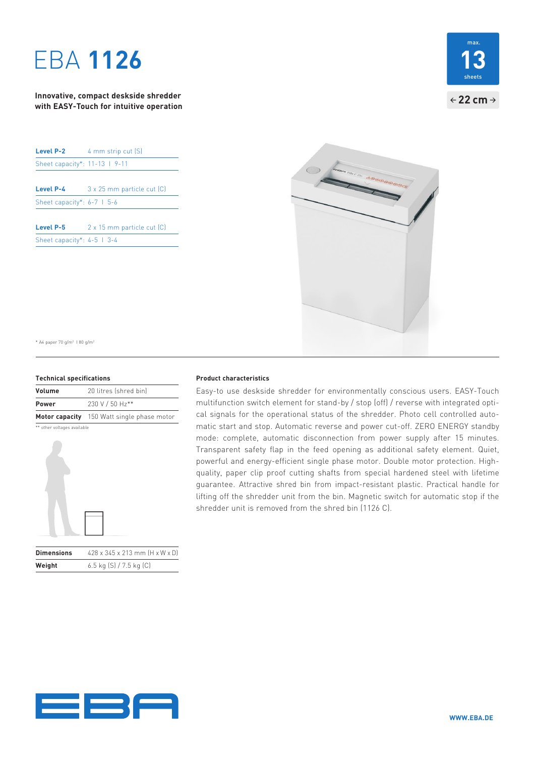# **EBA 1126**

**Innovative, compact deskside shredder with EASY-Touch for intuitive operation**

| Level P-2                      | 4 mm strip cut (S)         |
|--------------------------------|----------------------------|
| Sheet capacity*: 11-13   9-11  |                            |
|                                |                            |
| Level P-4                      | 3 x 25 mm particle cut (C) |
| Sheet capacity*: $6-7$   $5-6$ |                            |
|                                |                            |
| Level P-5                      | 2 x 15 mm particle cut [C] |
| Sheet capacity*: $4-5$   $3-4$ |                            |





\* A4 paper 70 g/m2 I 80 g/m2

### **Technical specifications**

| <b>Volume</b> | 20 litres (shred bin)                      |  |  |
|---------------|--------------------------------------------|--|--|
| <b>Power</b>  | 230 V / 50 Hz**                            |  |  |
|               | Motor capacity 150 Watt single phase motor |  |  |

\*\* other voltages available



| <b>Dimensions</b> | 428 x 345 x 213 mm (H x W x D) |
|-------------------|--------------------------------|
| Weight            | 6.5 kg (S) / 7.5 kg (C)        |

## **Product characteristics**

Easy-to use deskside shredder for environmentally conscious users. EASY-Touch multifunction switch element for stand-by / stop (off) / reverse with integrated optical signals for the operational status of the shredder. Photo cell controlled automatic start and stop. Automatic reverse and power cut-off. ZERO ENERGY standby mode: complete, automatic disconnection from power supply after 15 minutes. Transparent safety flap in the feed opening as additional safety element. Quiet, powerful and energy-efficient single phase motor. Double motor protection. Highquality, paper clip proof cutting shafts from special hardened steel with lifetime guarantee. Attractive shred bin from impact-resistant plastic. Practical handle for lifting off the shredder unit from the bin. Magnetic switch for automatic stop if the shredder unit is removed from the shred bin (1126 C).